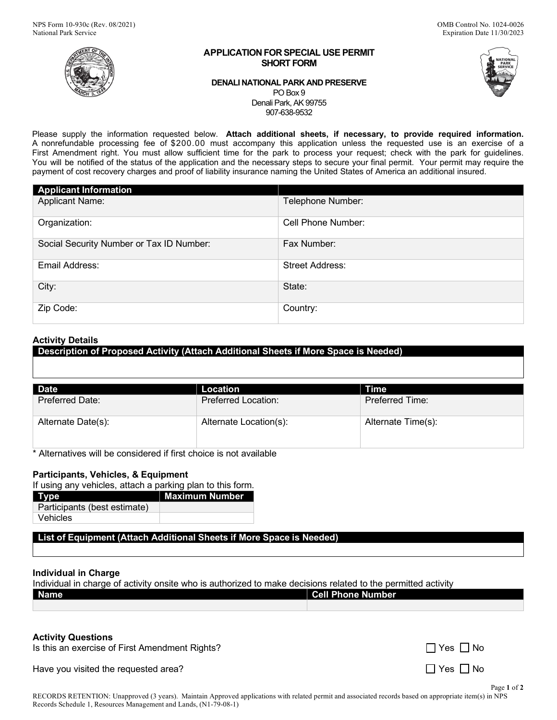

#### **APPLICATION FOR SPECIAL USE PERMIT SHORT FORM**

### **DENALI NATIONAL PARK AND PRESERVE** PO Box 9 Denali Park, AK 99755 907-638-9532

Please supply the information requested below. **Attach additional sheets, if necessary, to provide required information.** A nonrefundable processing fee of \$200.00 must accompany this application unless the requested use is an exercise of a First Amendment right. You must allow sufficient time for the park to process your request; check with the park for guidelines. You will be notified of the status of the application and the necessary steps to secure your final permit. Your permit may require the payment of cost recovery charges and proof of liability insurance naming the United States of America an additional insured.

| <b>Applicant Information</b>             |                        |
|------------------------------------------|------------------------|
| <b>Applicant Name:</b>                   | Telephone Number:      |
| Organization:                            | Cell Phone Number:     |
| Social Security Number or Tax ID Number: | Fax Number:            |
| Email Address:                           | <b>Street Address:</b> |
| City:                                    | State:                 |
| Zip Code:                                | Country:               |

# **Activity Details**

**Description of Proposed Activity (Attach Additional Sheets if More Space is Needed)**

| <b>Date</b>            | Location                   | Time                   |
|------------------------|----------------------------|------------------------|
| <b>Preferred Date:</b> | <b>Preferred Location:</b> | <b>Preferred Time:</b> |
| Alternate Date(s):     | Alternate Location(s):     | Alternate Time(s):     |

\* Alternatives will be considered if first choice is not available

# **Participants, Vehicles, & Equipment**

If using any vehicles, attach a parking plan to this form.

| Type                         | Maximum Number |
|------------------------------|----------------|
| Participants (best estimate) |                |
| Vehicles                     |                |

**List of Equipment (Attach Additional Sheets if More Space is Needed)**

## **Individual in Charge**

Individual in charge of activity onsite who is authorized to make decisions related to the permitted activity

| <b>Name</b> | <b>Cell Phone Number</b> |
|-------------|--------------------------|
|             |                          |

## **Activity Questions**

Is this an exercise of First Amendment Rights?

Have you visited the requested area?  $\Box$  Yes  $\Box$  No

| Yes I I No |  |
|------------|--|
|            |  |

Page **1** of **2**

RECORDS RETENTION: Unapproved (3 years). Maintain Approved applications with related permit and associated records based on appropriate item(s) in NPS Records Schedule 1, Resources Management and Lands, (N1-79-08-1)